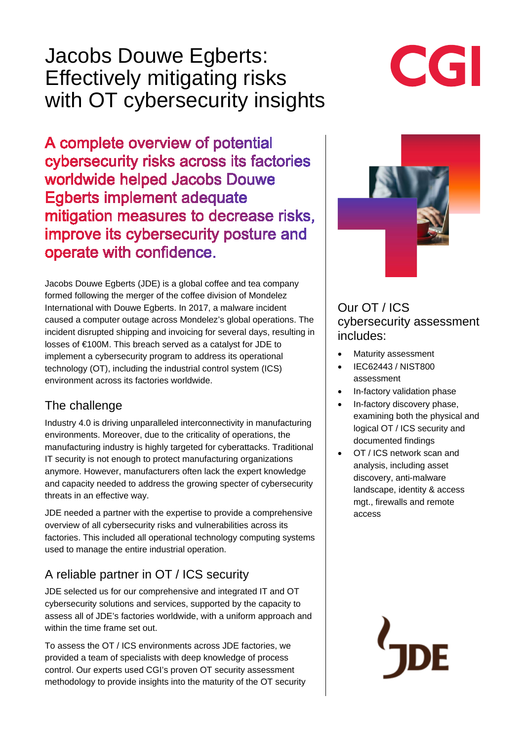# Jacobs Douwe Egberts: Effectively mitigating risks with OT cybersecurity insights

CGI

A complete overview of potential cybersecurity risks across its factories worldwide helped Jacobs Douwe Egberts implement adequate mitigation measures to decrease risks. improve its cybersecurity posture and operate with confidence.

Jacobs Douwe Egberts (JDE) is a global coffee and tea company formed following the merger of the coffee division of Mondelez International with Douwe Egberts. In 2017, a malware incident caused a computer outage across Mondelez's global operations. The incident disrupted shipping and invoicing for several days, resulting in losses of €100M. This breach served as a catalyst for JDE to implement a cybersecurity program to address its operational technology (OT), including the industrial control system (ICS) environment across its factories worldwide.

## The challenge

Industry 4.0 is driving unparalleled interconnectivity in manufacturing environments. Moreover, due to the criticality of operations, the manufacturing industry is highly targeted for cyberattacks. Traditional IT security is not enough to protect manufacturing organizations anymore. However, manufacturers often lack the expert knowledge and capacity needed to address the growing specter of cybersecurity threats in an effective way.

JDE needed a partner with the expertise to provide a comprehensive overview of all cybersecurity risks and vulnerabilities across its factories. This included all operational technology computing systems used to manage the entire industrial operation.

# A reliable partner in OT / ICS security

JDE selected us for our comprehensive and integrated IT and OT cybersecurity solutions and services, supported by the capacity to assess all of JDE's factories worldwide, with a uniform approach and within the time frame set out.

To assess the OT / ICS environments across JDE factories, we provided a team of specialists with deep knowledge of process control. Our experts used CGI's proven OT security assessment methodology to provide insights into the maturity of the OT security



Our OT / ICS cybersecurity assessment includes:

- Maturity assessment
- IEC62443 / NIST800 assessment
- In-factory validation phase
- In-factory discovery phase, examining both the physical and logical OT / ICS security and documented findings
- OT / ICS network scan and analysis, including asset discovery, anti-malware landscape, identity & access mgt., firewalls and remote access